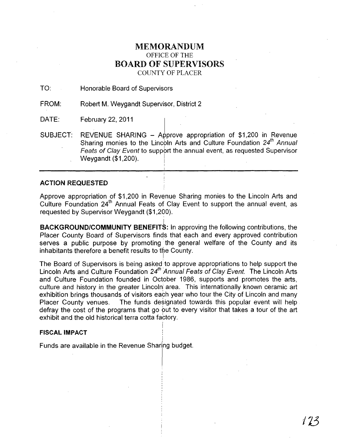# MEMORANDUM OFFICE OF THE BOARD OF SUPERVISORS COUNTY OF PLACER

TO: Honorable Board of Supervisors

FROM: Robert M. Weygandt Supervisor, District 2<br>February 22, 2011

DATE:

SUBJECT: REVENUE SHARING – Approve appropriation of \$1,200 in Revenue Sharing monies to the Lincbln Arts and Culture Foundation *24th* Annual Feats of Clay Event to support the annual event, as requested Supervisor Weygandt (\$1,200).

## ACTION REQUESTED

Approve appropriation of \$1,200 in Revenue Sharing monies to the Lincoln Arts and Culture Foundation 24th Annual Feats of Clay Event to support the annual event, as requested by Supervisor Weygandt (\$1,200).

I

BACKGROUND/COMMUNITY BENEFITS: In approving the following contributions, the Placer County Board of Supervisors finds that each and every approved contribution serves a public purpose by promoting' the general welfare of the County and its inhabitants therefore a benefit results to the County.

The Board of Supervisors is being asked· to approve appropriations to help support the Lincoln Arts and Culture Foundation *24th* Annual Feats of Clay Event. The Lincoln Arts and Culture Foundation founded in October 1986, supports and promotes the arts, culture and history in the greater Lincolni area. This internationally known ceramic art exhibition brings thousands of visitors each year who tour the City of Lincoln and many Placer County venues. The funds designated towards this popular event will help defray the cost of the programs that go out to every visitor that takes a tour of the art exhibit and the old historical terra cotta factory.

> I I

### **FISCAL IMPACT**

Funds are available in the Revenue Sharing budget.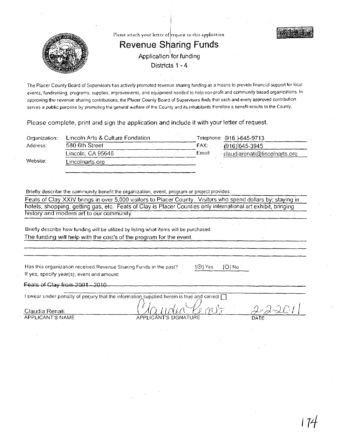

The Placer County Board of Supervisors has actively promoted revenue sharing funding as a means to provide financial support for local events, fundraising, programs, supplies, improvements, and equipment needed to help non-profit and community based organizations. In approving the revenue sharing contributions, the Placer County Board of Supervisors finds that each and every approved contribution serves a public purpose by promoting the general welfare of the County and its inhabitants therefore a benefit results to the County.

Please complete, print and sign the application and include it with your letter of request.

| Organization: | Lincoln Arts & Culture Fondation |        | Telephone: (916)-645-9713     |
|---------------|----------------------------------|--------|-------------------------------|
| Address:      | 580 6th Street                   | FAX:   | $(916)$ 645-3945              |
|               | Lincoln, CA 95648                | Email: | claudiarenati@lincolnarts.org |
| Website:      | Lincolnarts.org                  |        |                               |
|               |                                  |        |                               |
|               |                                  |        |                               |

Briefly describe the community benefit the organization, event, program or project provides:

Feats of Clay XXIV brings in over 5,000 visitors to Placer County. Visitors who spend dollars by: staying in hotels, shopping, getting gas, etc. Feats of Clay is Placer Counties only international art exhibit, bringing history and modern art to our community.

Briefly describe how funding will be utilized by listing what items will be purchased: The funding will heip with the cost's of the program for the event.

Has this organization received Revenue Sharing Funds in the past? If yes, specify year(s), event and amount:

~0] Yes [0] No

 $Feats of Glay from  $2001 - 2010$ .$ 

I swear under penalty of perjury that the information supplied herein is true and correct  $\Box$ ;; , , I' /l ~ . f!, ( J')- laudia Renati .' f.t. \ -rJ, i .1 I {

Claudia Renati

APPLICANT'S NAME APPLICANT'S SIGNATURE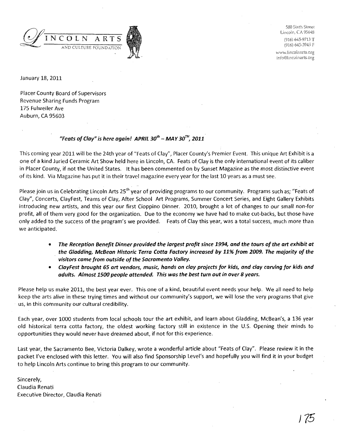

580 Sixth Street Lincoln, CA 95648

(916) 645-9713 T (916) 645-3945 F

www.lincolnarts.org info@lincolnarts.org

January 18, 2011

Placer County Board of Supervisors Revenue Sharing Funds Program 175 Fulweiler Ave Auburn, CA 95603

# "Feats of Clay" is here again! APRIL 30<sup>th</sup> - MAY 30<sup>TH</sup>, 2011

This coming year 2011 will be the 24th year of "Feats of Clay", Placer County's Premier Event. This unique Art Exhibit is a one of a kind Juried Ceramic Art Show held here in Lincoln, CA. Feats of Clay is the only international event of its caliber in Placer County, if not the United States. It has been commented on by Sunset Magazine as the most distinctive event of its kind. Via Magazine has put it in their travel magazine every year for the last 10 years as a must see.

Please join us in Celebrating Lincoln Arts 25<sup>th</sup> year of providing programs to our community. Programs such as; "Feats of Clay", Concerts,ClayFest, Teams of Clay, After School Art Programs, Summer Concert Series, and Eight Gallery Exhibits introducing new artists, and this year our first Cioppino Dinner. 2010, brought a lot of changes to our small non-for profit, all of them very good for the organization. Due to the economy we have had to make cut-backs, but those have only added to the success of the program's we provided. Feats of Clay this year, was a total success, much more than we anticipated.

- The Reception Benefit Dinner provided the largest profit since 1994, and the tours of the art exhibit at the Gladding, McBean Historic Terra Cotta Factory increased by 11% from 2009. The majority of the visitors came from outside of the Sacramento Valley.
- ClayFest brought 65 art vendors, music, hands on clay projects for kids, and clay carving for kids and adults. Almost 1500 people attended. This wos the best turn out in over 8 years.

Please help us make 2011, the best year ever. This one of a kind, beautiful event needs your help. We all need to help keep the arts alive in these trying times and without our community's support, we will lose the very programs that give us, in this community our cultural credibility.

Each year, over 1000 students from local schools tour the art exhibit, and learn about Gladding, McBean's, a 136 year old historical terra cotta factory, the oldest working factory still in existence in the U.S. Opening their minds to opportunities they would never have dreamed about, if not for this experience.

Last year, the Sacramento Bee, Victoria Dalkey, wrote a wonderful article about "Feats of Clay". Please review it in the packet I've enclosed with this letter. You will also find Sponsorship Level's and hopefully you will find it in your budget to help Lincoln Arts continue to bring this program to our community.

Sincerely, Claudia Renati Executive Director, Claudia Renati

J *75*